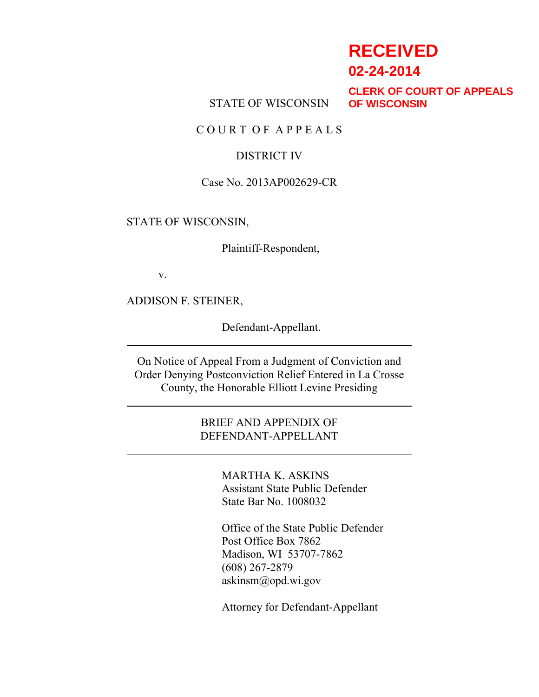# **RECEIVED**

**02-24-2014**

STATE OF WISCONSIN

**CLERK OF COURT OF APPEALS OF WISCONSIN**

C O U R T O F A P P E A L S

### DISTRICT IV

#### Case No. 2013AP002629-CR

#### STATE OF WISCONSIN,

Plaintiff-Respondent,

v.

ADDISON F. STEINER,

Defendant-Appellant.

On Notice of Appeal From a Judgment of Conviction and Order Denying Postconviction Relief Entered in La Crosse County, the Honorable Elliott Levine Presiding

### BRIEF AND APPENDIX OF DEFENDANT-APPELLANT

MARTHA K. ASKINS Assistant State Public Defender State Bar No. 1008032

Office of the State Public Defender Post Office Box 7862 Madison, WI 53707-7862 (608) 267-2879 askinsm@opd.wi.gov

Attorney for Defendant-Appellant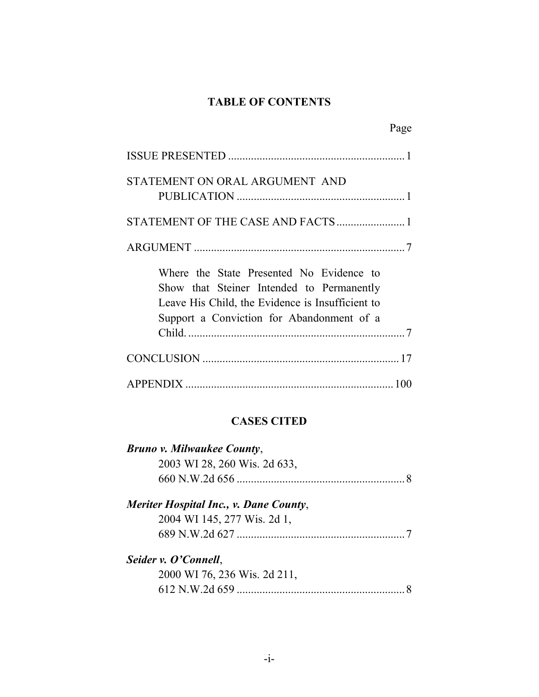### **TABLE OF CONTENTS**

| Page                                                                                                                                                                                   |  |
|----------------------------------------------------------------------------------------------------------------------------------------------------------------------------------------|--|
|                                                                                                                                                                                        |  |
| STATEMENT ON ORAL ARGUMENT AND                                                                                                                                                         |  |
| STATEMENT OF THE CASE AND FACTS  1                                                                                                                                                     |  |
|                                                                                                                                                                                        |  |
| Where the State Presented No Evidence to<br>Show that Steiner Intended to Permanently<br>Leave His Child, the Evidence is Insufficient to<br>Support a Conviction for Abandonment of a |  |

## **CASES CITED**

| <b>Bruno v. Milwaukee County,</b>      |  |
|----------------------------------------|--|
| 2003 WI 28, 260 Wis. 2d 633,           |  |
|                                        |  |
| Meriter Hospital Inc., v. Dane County, |  |
| 2004 WI 145, 277 Wis. 2d 1,            |  |
|                                        |  |
| Seider v. O'Connell,                   |  |
| 2000 WI 76, 236 Wis. 2d 211,           |  |
|                                        |  |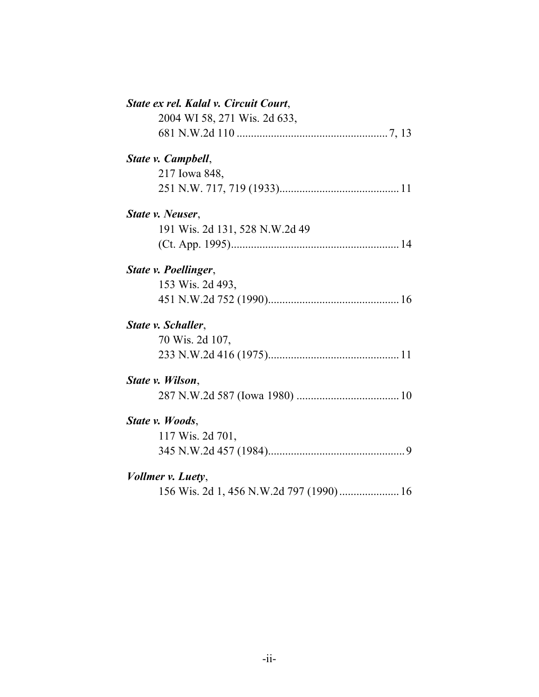| State ex rel. Kalal v. Circuit Court,   |
|-----------------------------------------|
| 2004 WI 58, 271 Wis. 2d 633,            |
|                                         |
| State v. Campbell,                      |
| 217 Iowa 848,                           |
|                                         |
| State v. Neuser.                        |
| 191 Wis. 2d 131, 528 N.W.2d 49          |
|                                         |
| State v. Poellinger,                    |
| 153 Wis. 2d 493,                        |
|                                         |
| State v. Schaller,                      |
| 70 Wis. 2d 107,                         |
|                                         |
| State v. Wilson,                        |
|                                         |
| State v. Woods,                         |
| 117 Wis. 2d 701,                        |
|                                         |
| Vollmer v. Luety,                       |
| 156 Wis. 2d 1, 456 N.W.2d 797 (1990) 16 |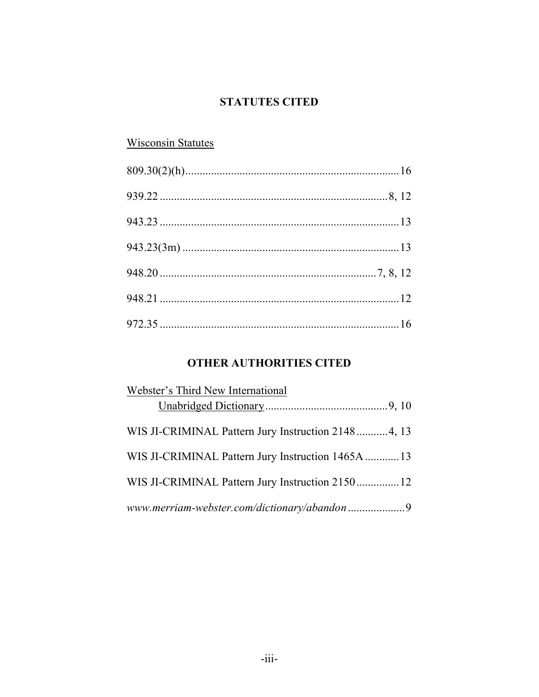### **STATUTES CITED**

## Wisconsin Statutes

## **OTHER AUTHORITIES CITED**

| Webster's Third New International                  |  |
|----------------------------------------------------|--|
|                                                    |  |
| WIS JI-CRIMINAL Pattern Jury Instruction 21484, 13 |  |
| WIS JI-CRIMINAL Pattern Jury Instruction 1465A  13 |  |
| WIS JI-CRIMINAL Pattern Jury Instruction 2150 12   |  |
|                                                    |  |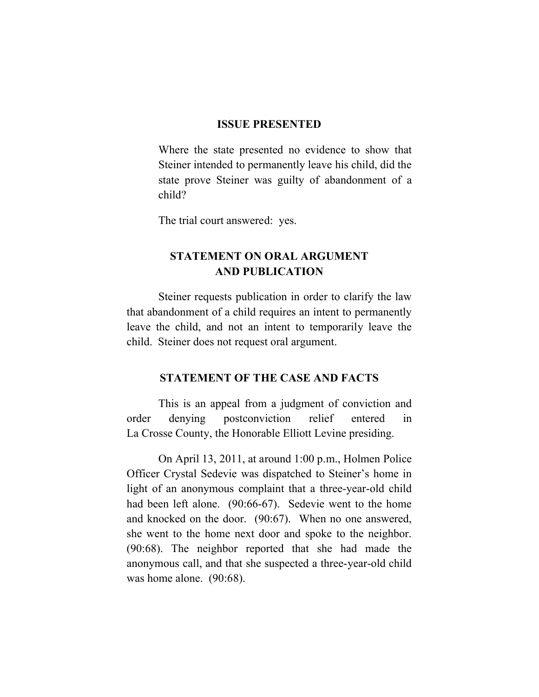#### **ISSUE PRESENTED**

Where the state presented no evidence to show that Steiner intended to permanently leave his child, did the state prove Steiner was guilty of abandonment of a child?

The trial court answered: yes.

### **STATEMENT ON ORAL ARGUMENT AND PUBLICATION**

Steiner requests publication in order to clarify the law that abandonment of a child requires an intent to permanently leave the child, and not an intent to temporarily leave the child. Steiner does not request oral argument.

#### **STATEMENT OF THE CASE AND FACTS**

This is an appeal from a judgment of conviction and order denying postconviction relief entered in La Crosse County, the Honorable Elliott Levine presiding.

On April 13, 2011, at around 1:00 p.m., Holmen Police Officer Crystal Sedevie was dispatched to Steiner's home in light of an anonymous complaint that a three-year-old child had been left alone. (90:66-67). Sedevie went to the home and knocked on the door. (90:67). When no one answered, she went to the home next door and spoke to the neighbor. (90:68). The neighbor reported that she had made the anonymous call, and that she suspected a three-year-old child was home alone. (90:68).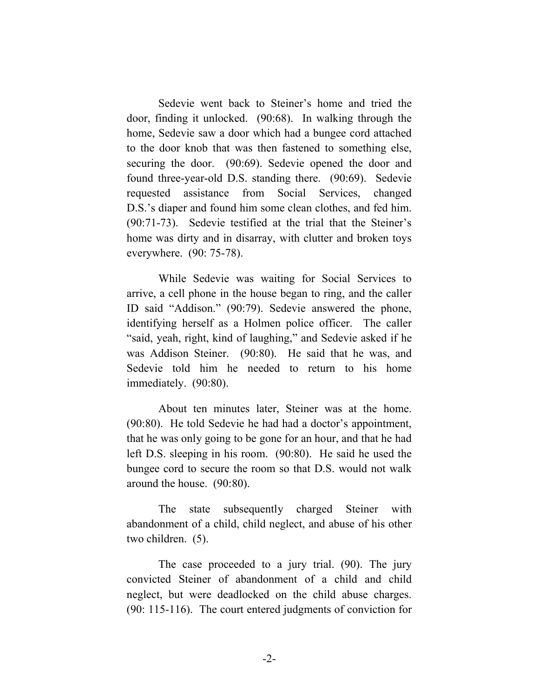Sedevie went back to Steiner's home and tried the door, finding it unlocked. (90:68). In walking through the home, Sedevie saw a door which had a bungee cord attached to the door knob that was then fastened to something else, securing the door. (90:69). Sedevie opened the door and found three-year-old D.S. standing there. (90:69). Sedevie requested assistance from Social Services, changed D.S.'s diaper and found him some clean clothes, and fed him. (90:71-73). Sedevie testified at the trial that the Steiner's home was dirty and in disarray, with clutter and broken toys everywhere. (90: 75-78).

While Sedevie was waiting for Social Services to arrive, a cell phone in the house began to ring, and the caller ID said "Addison." (90:79). Sedevie answered the phone, identifying herself as a Holmen police officer. The caller "said, yeah, right, kind of laughing," and Sedevie asked if he was Addison Steiner. (90:80). He said that he was, and Sedevie told him he needed to return to his home immediately. (90:80).

About ten minutes later, Steiner was at the home. (90:80). He told Sedevie he had had a doctor's appointment, that he was only going to be gone for an hour, and that he had left D.S. sleeping in his room. (90:80). He said he used the bungee cord to secure the room so that D.S. would not walk around the house. (90:80).

The state subsequently charged Steiner with abandonment of a child, child neglect, and abuse of his other two children. (5).

The case proceeded to a jury trial. (90). The jury convicted Steiner of abandonment of a child and child neglect, but were deadlocked on the child abuse charges. (90: 115-116). The court entered judgments of conviction for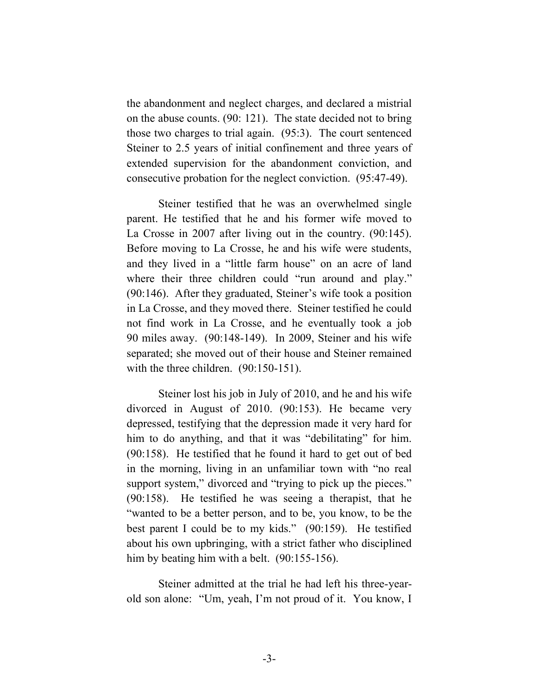the abandonment and neglect charges, and declared a mistrial on the abuse counts. (90: 121). The state decided not to bring those two charges to trial again. (95:3). The court sentenced Steiner to 2.5 years of initial confinement and three years of extended supervision for the abandonment conviction, and consecutive probation for the neglect conviction. (95:47-49).

Steiner testified that he was an overwhelmed single parent. He testified that he and his former wife moved to La Crosse in 2007 after living out in the country. (90:145). Before moving to La Crosse, he and his wife were students, and they lived in a "little farm house" on an acre of land where their three children could "run around and play." (90:146). After they graduated, Steiner's wife took a position in La Crosse, and they moved there. Steiner testified he could not find work in La Crosse, and he eventually took a job 90 miles away. (90:148-149). In 2009, Steiner and his wife separated; she moved out of their house and Steiner remained with the three children. (90:150-151).

Steiner lost his job in July of 2010, and he and his wife divorced in August of 2010. (90:153). He became very depressed, testifying that the depression made it very hard for him to do anything, and that it was "debilitating" for him. (90:158). He testified that he found it hard to get out of bed in the morning, living in an unfamiliar town with "no real support system," divorced and "trying to pick up the pieces." (90:158). He testified he was seeing a therapist, that he "wanted to be a better person, and to be, you know, to be the best parent I could be to my kids." (90:159). He testified about his own upbringing, with a strict father who disciplined him by beating him with a belt. (90:155-156).

Steiner admitted at the trial he had left his three-yearold son alone: "Um, yeah, I'm not proud of it. You know, I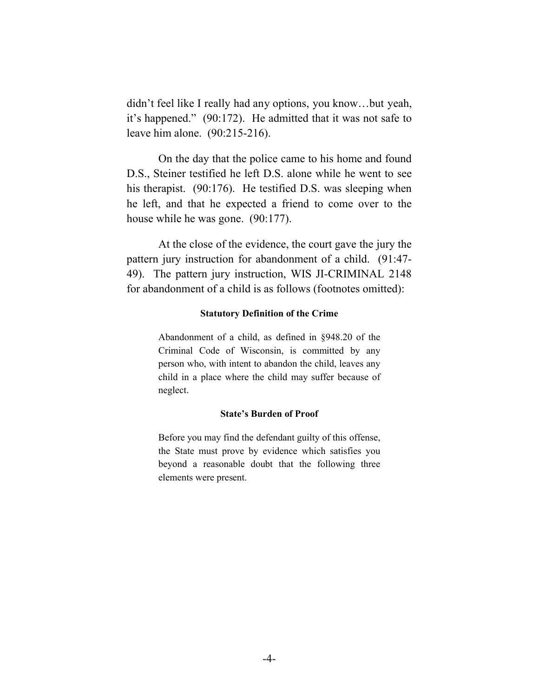didn't feel like I really had any options, you know…but yeah, it's happened." (90:172). He admitted that it was not safe to leave him alone. (90:215-216).

On the day that the police came to his home and found D.S., Steiner testified he left D.S. alone while he went to see his therapist. (90:176). He testified D.S. was sleeping when he left, and that he expected a friend to come over to the house while he was gone. (90:177).

At the close of the evidence, the court gave the jury the pattern jury instruction for abandonment of a child. (91:47- 49). The pattern jury instruction, WIS JI-CRIMINAL 2148 for abandonment of a child is as follows (footnotes omitted):

#### **Statutory Definition of the Crime**

Abandonment of a child, as defined in §948.20 of the Criminal Code of Wisconsin, is committed by any person who, with intent to abandon the child, leaves any child in a place where the child may suffer because of neglect.

#### **State's Burden of Proof**

Before you may find the defendant guilty of this offense, the State must prove by evidence which satisfies you beyond a reasonable doubt that the following three elements were present.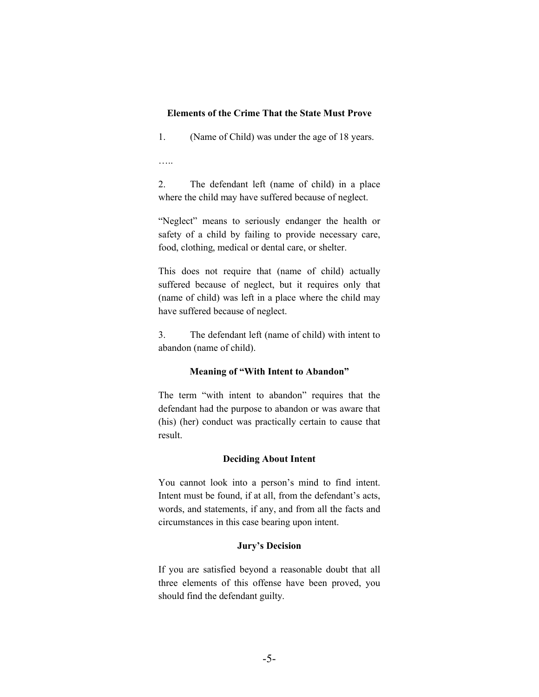#### **Elements of the Crime That the State Must Prove**

1. (Name of Child) was under the age of 18 years.

…..

2. The defendant left (name of child) in a place where the child may have suffered because of neglect.

"Neglect" means to seriously endanger the health or safety of a child by failing to provide necessary care, food, clothing, medical or dental care, or shelter.

This does not require that (name of child) actually suffered because of neglect, but it requires only that (name of child) was left in a place where the child may have suffered because of neglect.

3. The defendant left (name of child) with intent to abandon (name of child).

#### **Meaning of "With Intent to Abandon"**

The term "with intent to abandon" requires that the defendant had the purpose to abandon or was aware that (his) (her) conduct was practically certain to cause that result.

#### **Deciding About Intent**

You cannot look into a person's mind to find intent. Intent must be found, if at all, from the defendant's acts, words, and statements, if any, and from all the facts and circumstances in this case bearing upon intent.

#### **Jury's Decision**

If you are satisfied beyond a reasonable doubt that all three elements of this offense have been proved, you should find the defendant guilty.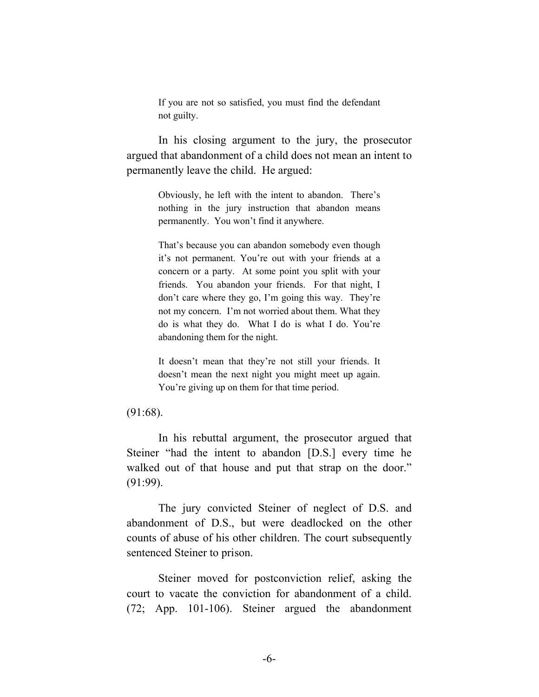If you are not so satisfied, you must find the defendant not guilty.

In his closing argument to the jury, the prosecutor argued that abandonment of a child does not mean an intent to permanently leave the child. He argued:

> Obviously, he left with the intent to abandon. There's nothing in the jury instruction that abandon means permanently. You won't find it anywhere.

> That's because you can abandon somebody even though it's not permanent. You're out with your friends at a concern or a party. At some point you split with your friends. You abandon your friends. For that night, I don't care where they go, I'm going this way. They're not my concern. I'm not worried about them. What they do is what they do. What I do is what I do. You're abandoning them for the night.

> It doesn't mean that they're not still your friends. It doesn't mean the next night you might meet up again. You're giving up on them for that time period.

#### (91:68).

In his rebuttal argument, the prosecutor argued that Steiner "had the intent to abandon [D.S.] every time he walked out of that house and put that strap on the door." (91:99).

The jury convicted Steiner of neglect of D.S. and abandonment of D.S., but were deadlocked on the other counts of abuse of his other children. The court subsequently sentenced Steiner to prison.

Steiner moved for postconviction relief, asking the court to vacate the conviction for abandonment of a child. (72; App. 101-106). Steiner argued the abandonment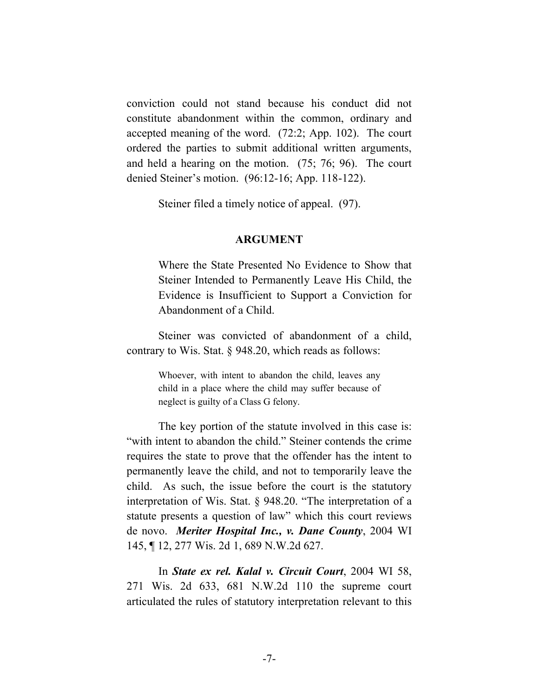conviction could not stand because his conduct did not constitute abandonment within the common, ordinary and accepted meaning of the word. (72:2; App. 102). The court ordered the parties to submit additional written arguments, and held a hearing on the motion. (75; 76; 96). The court denied Steiner's motion. (96:12-16; App. 118-122).

Steiner filed a timely notice of appeal. (97).

#### **ARGUMENT**

Where the State Presented No Evidence to Show that Steiner Intended to Permanently Leave His Child, the Evidence is Insufficient to Support a Conviction for Abandonment of a Child.

Steiner was convicted of abandonment of a child, contrary to Wis. Stat. § 948.20, which reads as follows:

> Whoever, with intent to abandon the child, leaves any child in a place where the child may suffer because of neglect is guilty of a Class G felony.

The key portion of the statute involved in this case is: "with intent to abandon the child." Steiner contends the crime requires the state to prove that the offender has the intent to permanently leave the child, and not to temporarily leave the child. As such, the issue before the court is the statutory interpretation of Wis. Stat. § 948.20. "The interpretation of a statute presents a question of law" which this court reviews de novo. *Meriter Hospital Inc., v. Dane County*, 2004 WI 145, ¶ 12, 277 Wis. 2d 1, 689 N.W.2d 627.

In *State ex rel. Kalal v. Circuit Court*, 2004 WI 58, 271 Wis. 2d 633, 681 N.W.2d 110 the supreme court articulated the rules of statutory interpretation relevant to this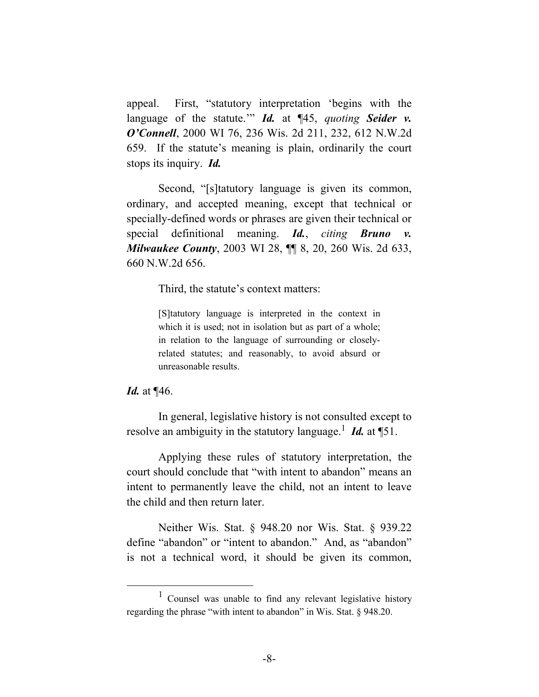appeal. First, "statutory interpretation 'begins with the language of the statute." *Id.* at ¶45, *quoting Seider v. O'Connell*, 2000 WI 76, 236 Wis. 2d 211, 232, 612 N.W.2d 659. If the statute's meaning is plain, ordinarily the court stops its inquiry. *Id.*

Second, "[s]tatutory language is given its common, ordinary, and accepted meaning, except that technical or specially-defined words or phrases are given their technical or special definitional meaning. *Id.*, *citing Bruno v. Milwaukee County*, 2003 WI 28, ¶¶ 8, 20, 260 Wis. 2d 633, 660 N.W.2d 656.

Third, the statute's context matters:

[S]tatutory language is interpreted in the context in which it is used; not in isolation but as part of a whole; in relation to the language of surrounding or closelyrelated statutes; and reasonably, to avoid absurd or unreasonable results.

#### *Id.* at ¶46.

In general, legislative history is not consulted except to resolve an ambiguity in the statutory language.<sup>1</sup> *Id.* at  $\P{51}$ .

Applying these rules of statutory interpretation, the court should conclude that "with intent to abandon" means an intent to permanently leave the child, not an intent to leave the child and then return later.

Neither Wis. Stat. § 948.20 nor Wis. Stat. § 939.22 define "abandon" or "intent to abandon." And, as "abandon" is not a technical word, it should be given its common,

 $\overline{\phantom{0}1}$  $\frac{1}{1}$  Counsel was unable to find any relevant legislative history regarding the phrase "with intent to abandon" in Wis. Stat. § 948.20.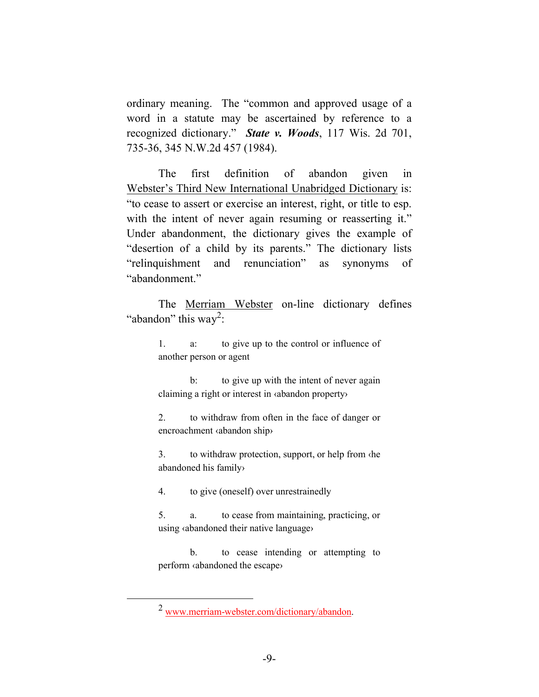ordinary meaning. The "common and approved usage of a word in a statute may be ascertained by reference to a recognized dictionary." *State v. Woods*, 117 Wis. 2d 701, 735-36, 345 N.W.2d 457 (1984).

The first definition of abandon given in Webster's Third New International Unabridged Dictionary is: "to cease to assert or exercise an interest, right, or title to esp. with the intent of never again resuming or reasserting it." Under abandonment, the dictionary gives the example of "desertion of a child by its parents." The dictionary lists "relinquishment and renunciation" as synonyms of "abandonment."

The Merriam Webster on-line dictionary defines "abandon" this way<sup>2</sup>:

> 1. a: to give up to the control or influence of another person or agent

> b: to give up with the intent of never again claiming a right or interest in ‹abandon property›

> 2. to withdraw from often in the face of danger or encroachment ‹abandon ship›

> 3. to withdraw protection, support, or help from ‹he abandoned his family›

4. to give (oneself) over unrestrainedly

5. a. to cease from maintaining, practicing, or using ‹abandoned their native language›

b. to cease intending or attempting to perform ‹abandoned the escape›

 <sup>2</sup> www.merriam-webster.com/dictionary/abandon.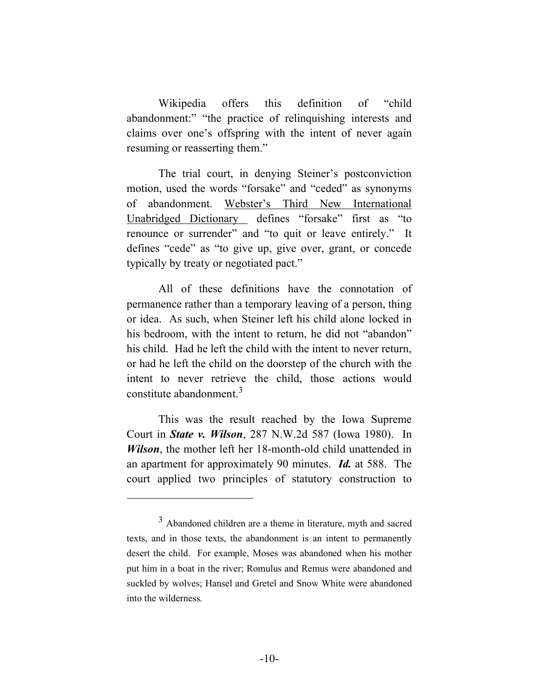Wikipedia offers this definition of "child abandonment:" "the practice of relinquishing interests and claims over one's offspring with the intent of never again resuming or reasserting them."

The trial court, in denying Steiner's postconviction motion, used the words "forsake" and "ceded" as synonyms of abandonment. Webster's Third New International Unabridged Dictionary defines "forsake" first as "to renounce or surrender" and "to quit or leave entirely." It defines "cede" as "to give up, give over, grant, or concede typically by treaty or negotiated pact."

All of these definitions have the connotation of permanence rather than a temporary leaving of a person, thing or idea. As such, when Steiner left his child alone locked in his bedroom, with the intent to return, he did not "abandon" his child. Had he left the child with the intent to never return, or had he left the child on the doorstep of the church with the intent to never retrieve the child, those actions would constitute abandonment.3

This was the result reached by the Iowa Supreme Court in *State v. Wilson*, 287 N.W.2d 587 (Iowa 1980). In *Wilson*, the mother left her 18-month-old child unattended in an apartment for approximately 90 minutes. *Id.* at 588. The court applied two principles of statutory construction to

 $\overline{a}$ 

<sup>3</sup> Abandoned children are a theme in literature, myth and sacred texts, and in those texts, the abandonment is an intent to permanently desert the child. For example, Moses was abandoned when his mother put him in a boat in the river; Romulus and Remus were abandoned and suckled by wolves; Hansel and Gretel and Snow White were abandoned into the wilderness.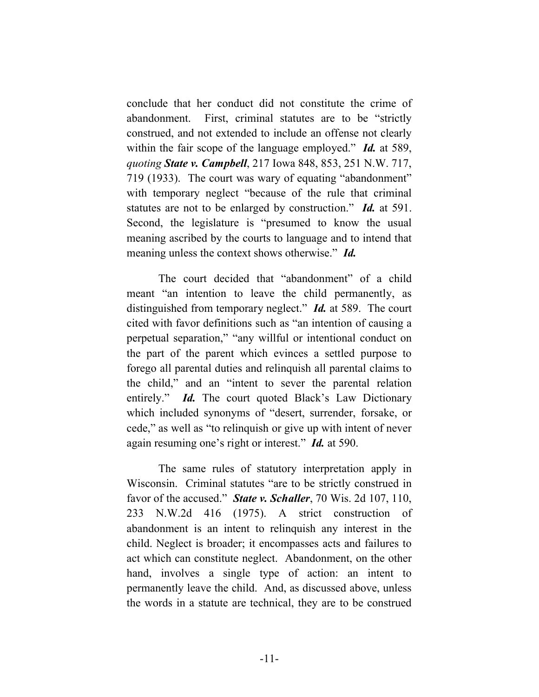conclude that her conduct did not constitute the crime of abandonment. First, criminal statutes are to be "strictly construed, and not extended to include an offense not clearly within the fair scope of the language employed." *Id.* at 589, *quoting State v. Campbell*, 217 Iowa 848, 853, 251 N.W. 717, 719 (1933). The court was wary of equating "abandonment" with temporary neglect "because of the rule that criminal statutes are not to be enlarged by construction." *Id.* at 591. Second, the legislature is "presumed to know the usual meaning ascribed by the courts to language and to intend that meaning unless the context shows otherwise." *Id.*

The court decided that "abandonment" of a child meant "an intention to leave the child permanently, as distinguished from temporary neglect." *Id.* at 589. The court cited with favor definitions such as "an intention of causing a perpetual separation," "any willful or intentional conduct on the part of the parent which evinces a settled purpose to forego all parental duties and relinquish all parental claims to the child," and an "intent to sever the parental relation entirely." *Id.* The court quoted Black's Law Dictionary which included synonyms of "desert, surrender, forsake, or cede," as well as "to relinquish or give up with intent of never again resuming one's right or interest." *Id.* at 590.

The same rules of statutory interpretation apply in Wisconsin. Criminal statutes "are to be strictly construed in favor of the accused." *State v. Schaller*, 70 Wis. 2d 107, 110, 233 N.W.2d 416 (1975). A strict construction of abandonment is an intent to relinquish any interest in the child. Neglect is broader; it encompasses acts and failures to act which can constitute neglect. Abandonment, on the other hand, involves a single type of action: an intent to permanently leave the child. And, as discussed above, unless the words in a statute are technical, they are to be construed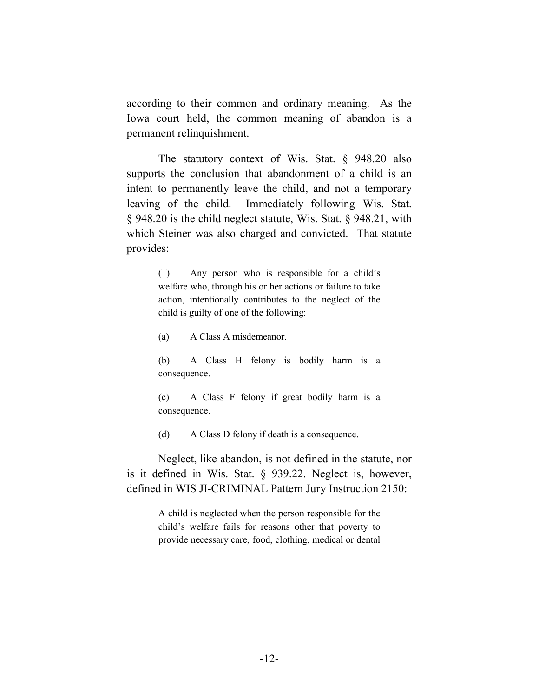according to their common and ordinary meaning. As the Iowa court held, the common meaning of abandon is a permanent relinquishment.

The statutory context of Wis. Stat. § 948.20 also supports the conclusion that abandonment of a child is an intent to permanently leave the child, and not a temporary leaving of the child. Immediately following Wis. Stat. § 948.20 is the child neglect statute, Wis. Stat. § 948.21, with which Steiner was also charged and convicted. That statute provides:

> (1) Any person who is responsible for a child's welfare who, through his or her actions or failure to take action, intentionally contributes to the neglect of the child is guilty of one of the following:

(a) A Class A misdemeanor.

(b) A Class H felony is bodily harm is a consequence.

(c) A Class F felony if great bodily harm is a consequence.

(d) A Class D felony if death is a consequence.

Neglect, like abandon, is not defined in the statute, nor is it defined in Wis. Stat. § 939.22. Neglect is, however, defined in WIS JI-CRIMINAL Pattern Jury Instruction 2150:

> A child is neglected when the person responsible for the child's welfare fails for reasons other that poverty to provide necessary care, food, clothing, medical or dental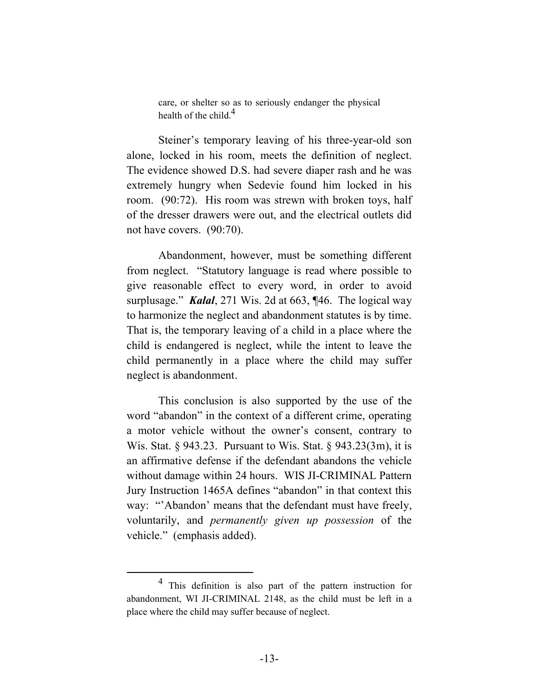care, or shelter so as to seriously endanger the physical health of the child  $<sup>4</sup>$ </sup>

Steiner's temporary leaving of his three-year-old son alone, locked in his room, meets the definition of neglect. The evidence showed D.S. had severe diaper rash and he was extremely hungry when Sedevie found him locked in his room. (90:72). His room was strewn with broken toys, half of the dresser drawers were out, and the electrical outlets did not have covers. (90:70).

Abandonment, however, must be something different from neglect. "Statutory language is read where possible to give reasonable effect to every word, in order to avoid surplusage." *Kalal*, 271 Wis. 2d at 663, ¶46. The logical way to harmonize the neglect and abandonment statutes is by time. That is, the temporary leaving of a child in a place where the child is endangered is neglect, while the intent to leave the child permanently in a place where the child may suffer neglect is abandonment.

This conclusion is also supported by the use of the word "abandon" in the context of a different crime, operating a motor vehicle without the owner's consent, contrary to Wis. Stat. § 943.23. Pursuant to Wis. Stat. § 943.23(3m), it is an affirmative defense if the defendant abandons the vehicle without damage within 24 hours. WIS JI-CRIMINAL Pattern Jury Instruction 1465A defines "abandon" in that context this way: "'Abandon' means that the defendant must have freely, voluntarily, and *permanently given up possession* of the vehicle." (emphasis added).

 <sup>4</sup> This definition is also part of the pattern instruction for abandonment, WI JI-CRIMINAL 2148, as the child must be left in a place where the child may suffer because of neglect.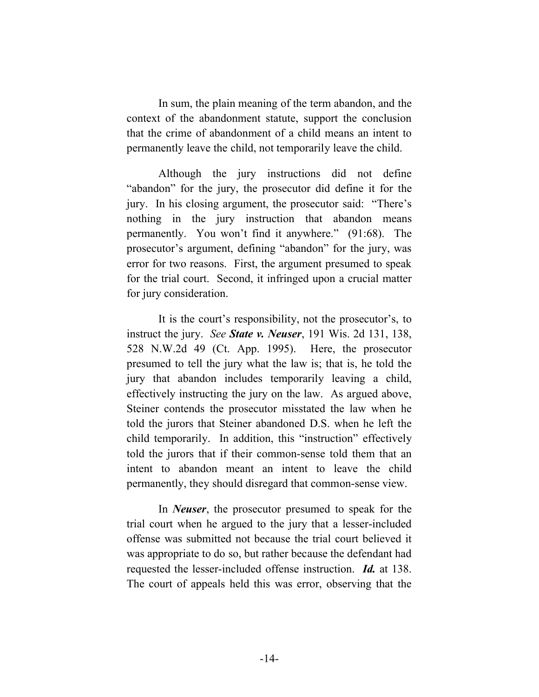In sum, the plain meaning of the term abandon, and the context of the abandonment statute, support the conclusion that the crime of abandonment of a child means an intent to permanently leave the child, not temporarily leave the child.

Although the jury instructions did not define "abandon" for the jury, the prosecutor did define it for the jury. In his closing argument, the prosecutor said: "There's nothing in the jury instruction that abandon means permanently. You won't find it anywhere." (91:68). The prosecutor's argument, defining "abandon" for the jury, was error for two reasons. First, the argument presumed to speak for the trial court. Second, it infringed upon a crucial matter for jury consideration.

It is the court's responsibility, not the prosecutor's, to instruct the jury. *See State v. Neuser*, 191 Wis. 2d 131, 138, 528 N.W.2d 49 (Ct. App. 1995). Here, the prosecutor presumed to tell the jury what the law is; that is, he told the jury that abandon includes temporarily leaving a child, effectively instructing the jury on the law. As argued above, Steiner contends the prosecutor misstated the law when he told the jurors that Steiner abandoned D.S. when he left the child temporarily. In addition, this "instruction" effectively told the jurors that if their common-sense told them that an intent to abandon meant an intent to leave the child permanently, they should disregard that common-sense view.

In *Neuser*, the prosecutor presumed to speak for the trial court when he argued to the jury that a lesser-included offense was submitted not because the trial court believed it was appropriate to do so, but rather because the defendant had requested the lesser-included offense instruction. *Id.* at 138. The court of appeals held this was error, observing that the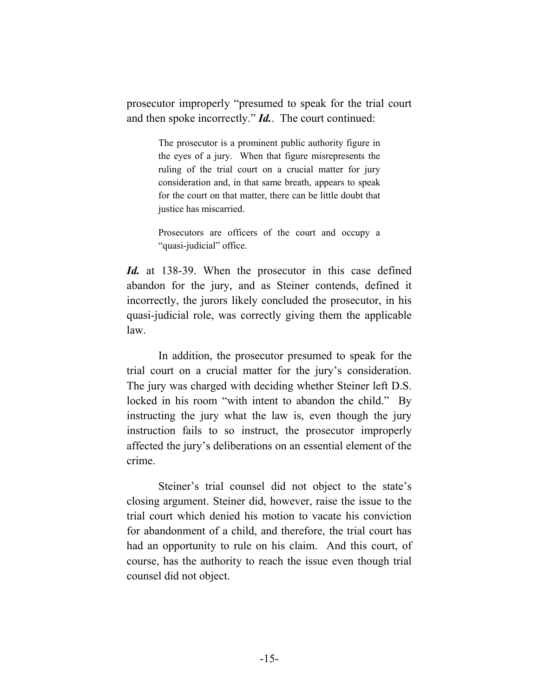prosecutor improperly "presumed to speak for the trial court and then spoke incorrectly." *Id.*. The court continued:

> The prosecutor is a prominent public authority figure in the eyes of a jury. When that figure misrepresents the ruling of the trial court on a crucial matter for jury consideration and, in that same breath, appears to speak for the court on that matter, there can be little doubt that justice has miscarried.

> Prosecutors are officers of the court and occupy a "quasi-judicial" office.

*Id.* at 138-39. When the prosecutor in this case defined abandon for the jury, and as Steiner contends, defined it incorrectly, the jurors likely concluded the prosecutor, in his quasi-judicial role, was correctly giving them the applicable law.

In addition, the prosecutor presumed to speak for the trial court on a crucial matter for the jury's consideration. The jury was charged with deciding whether Steiner left D.S. locked in his room "with intent to abandon the child." By instructing the jury what the law is, even though the jury instruction fails to so instruct, the prosecutor improperly affected the jury's deliberations on an essential element of the crime.

Steiner's trial counsel did not object to the state's closing argument. Steiner did, however, raise the issue to the trial court which denied his motion to vacate his conviction for abandonment of a child, and therefore, the trial court has had an opportunity to rule on his claim. And this court, of course, has the authority to reach the issue even though trial counsel did not object.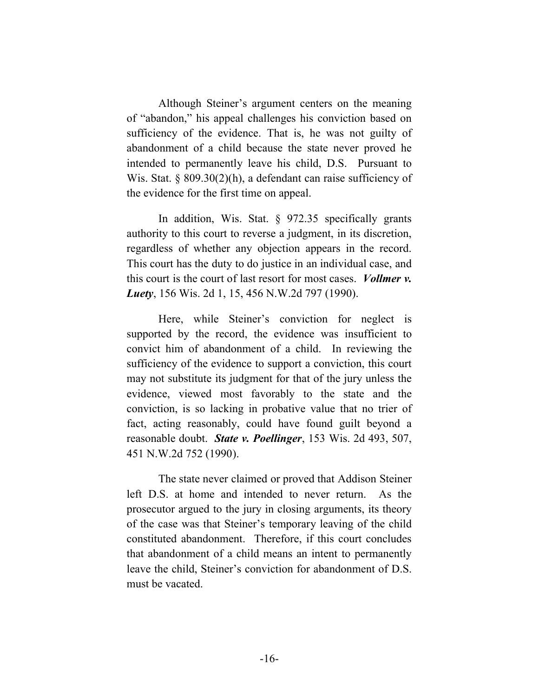Although Steiner's argument centers on the meaning of "abandon," his appeal challenges his conviction based on sufficiency of the evidence. That is, he was not guilty of abandonment of a child because the state never proved he intended to permanently leave his child, D.S. Pursuant to Wis. Stat. § 809.30(2)(h), a defendant can raise sufficiency of the evidence for the first time on appeal.

In addition, Wis. Stat. § 972.35 specifically grants authority to this court to reverse a judgment, in its discretion, regardless of whether any objection appears in the record. This court has the duty to do justice in an individual case, and this court is the court of last resort for most cases. *Vollmer v. Luety*, 156 Wis. 2d 1, 15, 456 N.W.2d 797 (1990).

Here, while Steiner's conviction for neglect is supported by the record, the evidence was insufficient to convict him of abandonment of a child. In reviewing the sufficiency of the evidence to support a conviction, this court may not substitute its judgment for that of the jury unless the evidence, viewed most favorably to the state and the conviction, is so lacking in probative value that no trier of fact, acting reasonably, could have found guilt beyond a reasonable doubt. *State v. Poellinger*, 153 Wis. 2d 493, 507, 451 N.W.2d 752 (1990).

The state never claimed or proved that Addison Steiner left D.S. at home and intended to never return. As the prosecutor argued to the jury in closing arguments, its theory of the case was that Steiner's temporary leaving of the child constituted abandonment. Therefore, if this court concludes that abandonment of a child means an intent to permanently leave the child, Steiner's conviction for abandonment of D.S. must be vacated.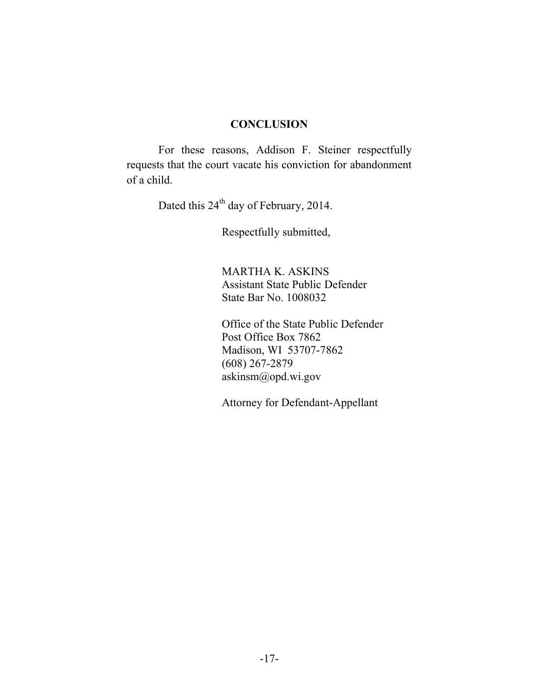#### **CONCLUSION**

For these reasons, Addison F. Steiner respectfully requests that the court vacate his conviction for abandonment of a child.

Dated this 24<sup>th</sup> day of February, 2014.

Respectfully submitted,

MARTHA K. ASKINS Assistant State Public Defender State Bar No. 1008032

Office of the State Public Defender Post Office Box 7862 Madison, WI 53707-7862 (608) 267-2879 askinsm@opd.wi.gov

Attorney for Defendant-Appellant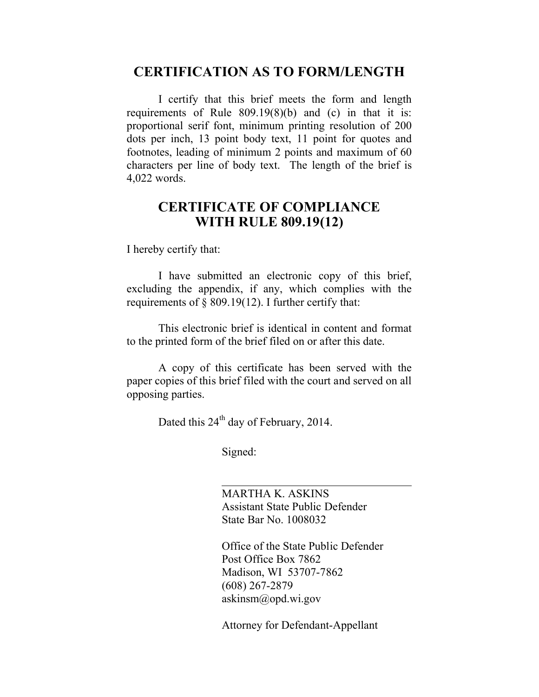### **CERTIFICATION AS TO FORM/LENGTH**

I certify that this brief meets the form and length requirements of Rule 809.19(8)(b) and (c) in that it is: proportional serif font, minimum printing resolution of 200 dots per inch, 13 point body text, 11 point for quotes and footnotes, leading of minimum 2 points and maximum of 60 characters per line of body text. The length of the brief is 4,022 words.

### **CERTIFICATE OF COMPLIANCE WITH RULE 809.19(12)**

I hereby certify that:

I have submitted an electronic copy of this brief, excluding the appendix, if any, which complies with the requirements of § 809.19(12). I further certify that:

This electronic brief is identical in content and format to the printed form of the brief filed on or after this date.

A copy of this certificate has been served with the paper copies of this brief filed with the court and served on all opposing parties.

Dated this  $24<sup>th</sup>$  day of February, 2014.

Signed:

MARTHA K. ASKINS Assistant State Public Defender State Bar No. 1008032

Office of the State Public Defender Post Office Box 7862 Madison, WI 53707-7862 (608) 267-2879 askinsm@opd.wi.gov

Attorney for Defendant-Appellant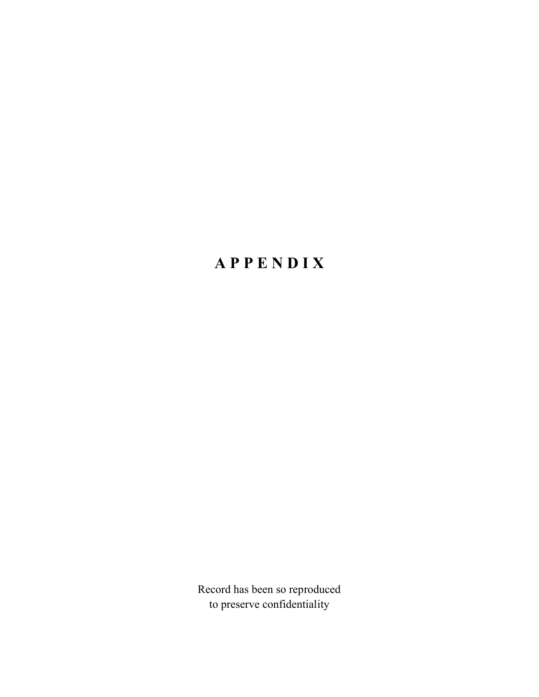# **A P P E N D I X**

Record has been so reproduced to preserve confidentiality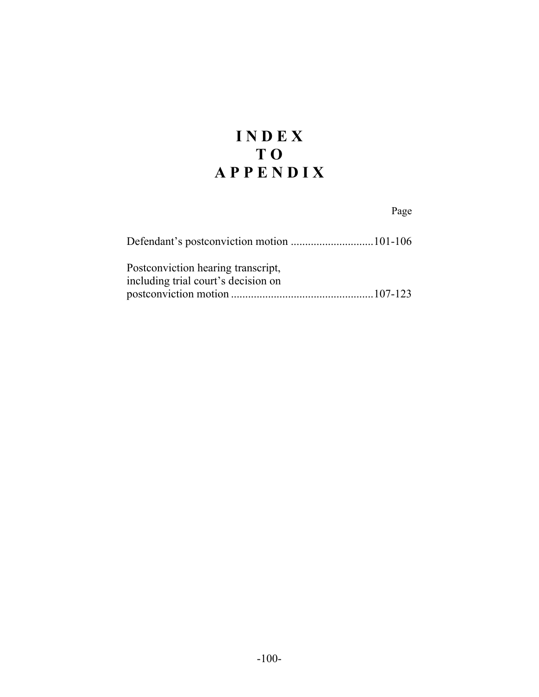# **I N D E X T O A P P E N D I X**

## Page

| Postconviction hearing transcript,  |  |
|-------------------------------------|--|
| including trial court's decision on |  |
|                                     |  |